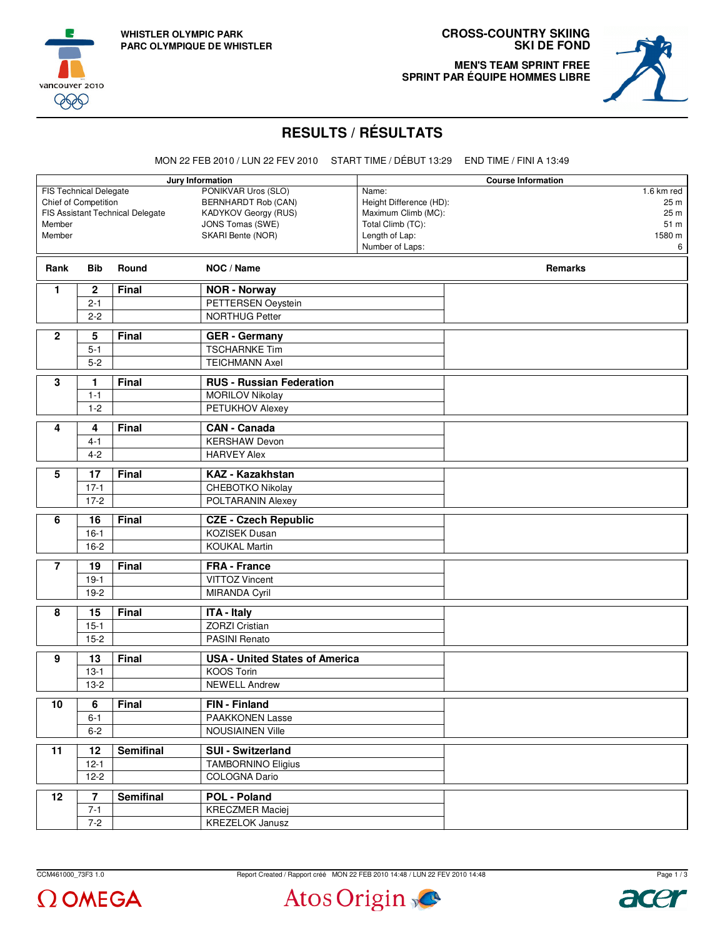





**MEN'S TEAM SPRINT FREE SPRINT PAR ÉQUIPE HOMMES LIBRE**



## **RESULTS / RÉSULTATS**

MON 22 FEB 2010 / LUN 22 FEV 2010 START TIME / DÉBUT 13:29 END TIME / FINI A 13:49

| Jury Information                 |                                                    |                               |                                             |                   | <b>Course Information</b> |
|----------------------------------|----------------------------------------------------|-------------------------------|---------------------------------------------|-------------------|---------------------------|
| <b>FIS Technical Delegate</b>    |                                                    |                               | PONIKVAR Uros (SLO)                         | Name:             | 1.6 km red                |
|                                  | Chief of Competition<br><b>BERNHARDT Rob (CAN)</b> |                               | Height Difference (HD):                     | 25 m              |                           |
| FIS Assistant Technical Delegate |                                                    |                               | KADYKOV Georgy (RUS)<br>Maximum Climb (MC): |                   | 25 m                      |
| Member                           |                                                    |                               | JONS Tomas (SWE)                            | Total Climb (TC): | 51 m                      |
| Member                           |                                                    |                               | SKARI Bente (NOR)                           | Length of Lap:    | 1580 m                    |
|                                  |                                                    |                               |                                             | Number of Laps:   | 6                         |
| Rank                             | <b>Bib</b>                                         | Round                         | NOC / Name                                  |                   | <b>Remarks</b>            |
| $\mathbf{1}$                     | $\overline{\mathbf{c}}$                            | Final                         | <b>NOR - Norway</b>                         |                   |                           |
|                                  | $2 - 1$                                            |                               | PETTERSEN Oeystein                          |                   |                           |
|                                  | $2 - 2$                                            |                               | <b>NORTHUG Petter</b>                       |                   |                           |
| $\mathbf{2}$                     | 5                                                  | Final<br><b>GER</b> - Germany |                                             |                   |                           |
|                                  | $5 - 1$                                            |                               | <b>TSCHARNKE Tim</b>                        |                   |                           |
|                                  | $5-2$                                              |                               | <b>TEICHMANN Axel</b>                       |                   |                           |
|                                  |                                                    |                               |                                             |                   |                           |
| 3                                | 1.                                                 | <b>Final</b>                  | <b>RUS - Russian Federation</b>             |                   |                           |
|                                  | $1 - 1$                                            |                               | <b>MORILOV Nikolay</b>                      |                   |                           |
|                                  | $1 - 2$<br>PETUKHOV Alexey                         |                               |                                             |                   |                           |
| 4                                | 4                                                  | <b>Final</b>                  | <b>CAN - Canada</b>                         |                   |                           |
|                                  | $4 - 1$                                            |                               | <b>KERSHAW Devon</b>                        |                   |                           |
|                                  | $4 - 2$                                            |                               | <b>HARVEY Alex</b>                          |                   |                           |
| 5                                | 17                                                 | <b>Final</b>                  | <b>KAZ - Kazakhstan</b>                     |                   |                           |
|                                  |                                                    |                               |                                             |                   |                           |
|                                  | $17-1$<br>$17 - 2$                                 |                               | CHEBOTKO Nikolay<br>POLTARANIN Alexey       |                   |                           |
|                                  |                                                    |                               |                                             |                   |                           |
| 6                                | 16                                                 | <b>Final</b>                  | <b>CZE - Czech Republic</b>                 |                   |                           |
|                                  | $16 - 1$                                           |                               | <b>KOZISEK Dusan</b>                        |                   |                           |
|                                  | $16 - 2$                                           |                               | <b>KOUKAL Martin</b>                        |                   |                           |
| $\overline{7}$                   | 19                                                 | <b>Final</b>                  | <b>FRA</b> - France                         |                   |                           |
|                                  | $19-1$                                             |                               | <b>VITTOZ Vincent</b>                       |                   |                           |
|                                  | $19-2$                                             |                               | MIRANDA Cyril                               |                   |                           |
| 8                                |                                                    | <b>Final</b>                  |                                             |                   |                           |
|                                  | 15<br>$15 - 1$                                     |                               | <b>ITA - Italy</b><br><b>ZORZI Cristian</b> |                   |                           |
|                                  | $15 - 2$                                           |                               | PASINI Renato                               |                   |                           |
|                                  |                                                    |                               |                                             |                   |                           |
| 9                                | 13                                                 | Final                         | <b>USA - United States of America</b>       |                   |                           |
|                                  | $13-1$                                             |                               | <b>KOOS Torin</b>                           |                   |                           |
|                                  | $13-2$                                             |                               | <b>NEWELL Andrew</b>                        |                   |                           |
| 10                               | $\overline{6}$                                     | Final                         | FIN - Finland                               |                   |                           |
|                                  | $6 - 1$                                            |                               | PAAKKONEN Lasse                             |                   |                           |
|                                  | $6 - 2$                                            |                               | <b>NOUSIAINEN Ville</b>                     |                   |                           |
|                                  |                                                    | <b>Semifinal</b>              |                                             |                   |                           |
| 11                               | 12                                                 |                               | SUI - Switzerland                           |                   |                           |
|                                  | $12 - 1$                                           |                               | <b>TAMBORNINO Eligius</b>                   |                   |                           |
|                                  | $12-2$                                             |                               | COLOGNA Dario                               |                   |                           |
| 12                               | $\overline{7}$                                     | <b>Semifinal</b>              | POL - Poland                                |                   |                           |
|                                  | $7 - 1$                                            |                               | <b>KRECZMER Maciej</b>                      |                   |                           |
|                                  | $7 - 2$                                            |                               | <b>KREZELOK Janusz</b>                      |                   |                           |

 $\Omega$  OMEGA

CCM461000\_73F3 1.0 Report Created / Rapport créé MON 22 FEB 2010 14:48 / LUN 22 FEV 2010 14:48 Atos Origin

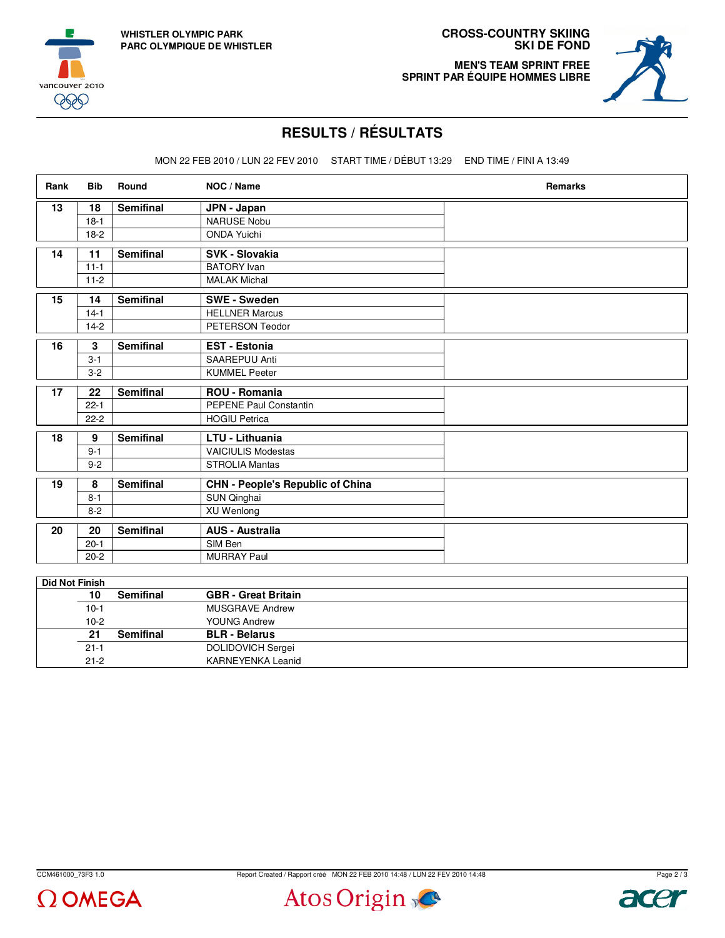





## **RESULTS / RÉSULTATS**

MON 22 FEB 2010 / LUN 22 FEV 2010 START TIME / DÉBUT 13:29 END TIME / FINI A 13:49

| Rank | <b>Bib</b> | Round            | NOC / Name                              | Remarks |  |  |  |  |
|------|------------|------------------|-----------------------------------------|---------|--|--|--|--|
| 13   | 18         | <b>Semifinal</b> | JPN - Japan                             |         |  |  |  |  |
|      | $18-1$     |                  | <b>NARUSE Nobu</b>                      |         |  |  |  |  |
|      | $18-2$     |                  | <b>ONDA Yuichi</b>                      |         |  |  |  |  |
| 14   | 11         | <b>Semifinal</b> | SVK - Slovakia                          |         |  |  |  |  |
|      | $11 - 1$   |                  | <b>BATORY</b> Ivan                      |         |  |  |  |  |
|      | $11-2$     |                  | <b>MALAK Michal</b>                     |         |  |  |  |  |
| 15   | 14         | <b>Semifinal</b> | <b>SWE - Sweden</b>                     |         |  |  |  |  |
|      | $14-1$     |                  | <b>HELLNER Marcus</b>                   |         |  |  |  |  |
|      | $14-2$     |                  | PETERSON Teodor                         |         |  |  |  |  |
| 16   | 3          | <b>Semifinal</b> | EST - Estonia                           |         |  |  |  |  |
|      | $3 - 1$    |                  | SAAREPUU Anti                           |         |  |  |  |  |
|      | $3-2$      |                  | <b>KUMMEL Peeter</b>                    |         |  |  |  |  |
| 17   | 22         | <b>Semifinal</b> | <b>ROU - Romania</b>                    |         |  |  |  |  |
|      | $22 - 1$   |                  | PEPENE Paul Constantin                  |         |  |  |  |  |
|      | $22 - 2$   |                  | <b>HOGIU Petrica</b>                    |         |  |  |  |  |
| 18   | 9          | <b>Semifinal</b> | LTU - Lithuania                         |         |  |  |  |  |
|      | $9 - 1$    |                  | <b>VAICIULIS Modestas</b>               |         |  |  |  |  |
|      | $9 - 2$    |                  | <b>STROLIA Mantas</b>                   |         |  |  |  |  |
| 19   | 8          | <b>Semifinal</b> | <b>CHN - People's Republic of China</b> |         |  |  |  |  |
|      | $8 - 1$    |                  | SUN Qinghai                             |         |  |  |  |  |
|      | $8 - 2$    |                  | XU Wenlong                              |         |  |  |  |  |
| 20   | 20         | <b>Semifinal</b> | <b>AUS - Australia</b>                  |         |  |  |  |  |
|      | $20 - 1$   |                  | SIM Ben                                 |         |  |  |  |  |
|      | $20 - 2$   |                  | <b>MURRAY Paul</b>                      |         |  |  |  |  |

| <b>Semifinal</b> | <b>GBR</b> - Great Britain |
|------------------|----------------------------|
|                  | <b>MUSGRAVE Andrew</b>     |
|                  | <b>YOUNG Andrew</b>        |
| <b>Semifinal</b> | <b>BLR</b> - Belarus       |
|                  | <b>DOLIDOVICH Sergei</b>   |
|                  | <b>KARNEYENKA Leanid</b>   |
|                  |                            |